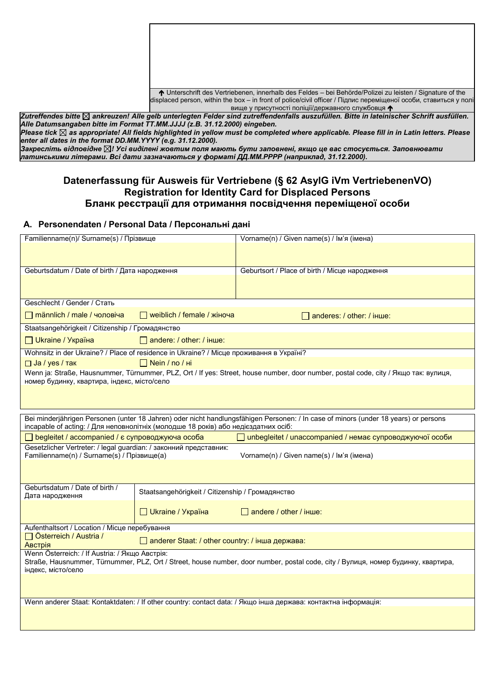| <b>↑</b> Unterschrift des Vertriebenen, innerhalb des Feldes – bei Behörde/Polizei zu leisten / Signature of the |
|------------------------------------------------------------------------------------------------------------------|
| displaced person, within the box – in front of police/civil officer / Підпис переміщеної особи, ставиться у полі |
| вище у присутності поліції/державного службовця $\spadesuit$                                                     |

Zutreffendes bitte ⊠ ankreuzen! Alle gelb unterlegten Felder sind zutreffendenfalls auszufüllen. Bitte in lateinischer Schrift ausfüllen. *Alle Datumsangaben bitte im Format TT.MM.JJJJ (z.B. 31.12.2000) eingeben.*

*Please tick as appropriate! All fields highlighted in yellow must be completed where applicable. Please fill in in Latin letters. Please enter all dates in the format DD.MM.YYYY (e.g. 31.12.2000).*

Закресліть відповідне ⊠! Усі виділені жовтим поля мають бути заповнені, якщо це вас стосується. Заповнювати *латинськими літерами. Всі дати зазначаються у форматі ДД.ММ.РРРР (наприклад, 31.12.2000).*

# **Datenerfassung für Ausweis für Vertriebene (§ 62 AsylG iVm VertriebenenVO) Registration for Identity Card for Displaced Persons Бланк реєстрації для отримання посвідчення переміщеної особи**

# **A. Personendaten / Personal Data / Персональні дані**

| Familienname(n)/ Surname(s) / Прізвище                                                                          |                                                  | Vorname(n) / Given name(s) / Ім'я (імена)                                                                                           |
|-----------------------------------------------------------------------------------------------------------------|--------------------------------------------------|-------------------------------------------------------------------------------------------------------------------------------------|
|                                                                                                                 |                                                  |                                                                                                                                     |
|                                                                                                                 |                                                  |                                                                                                                                     |
| Geburtsdatum / Date of birth / Дата народження                                                                  |                                                  | Geburtsort / Place of birth / Місце народження                                                                                      |
|                                                                                                                 |                                                  |                                                                                                                                     |
|                                                                                                                 |                                                  |                                                                                                                                     |
| Geschlecht / Gender / Стать                                                                                     |                                                  |                                                                                                                                     |
| $\Box$ männlich / male / чоловіча                                                                               | $\Box$ weiblich / female / жіноча                | $\Box$ anderes: / other: / iнше:                                                                                                    |
| Staatsangehörigkeit / Citizenship / Громадянство                                                                |                                                  |                                                                                                                                     |
| □ Ukraine / Україна                                                                                             | $\Box$ andere: / other: / iнше:                  |                                                                                                                                     |
| Wohnsitz in der Ukraine? / Place of residence in Ukraine? / Місце проживання в Україні?                         |                                                  |                                                                                                                                     |
| $\Box$ Ja / yes / так                                                                                           | $\Box$ Nein / no / ні                            |                                                                                                                                     |
| номер будинку, квартира, індекс, місто/село                                                                     |                                                  | Wenn ja: Straße, Hausnummer, Türnummer, PLZ, Ort / If yes: Street, house number, door number, postal code, city / Якщо так: вулиця, |
|                                                                                                                 |                                                  |                                                                                                                                     |
|                                                                                                                 |                                                  |                                                                                                                                     |
|                                                                                                                 |                                                  |                                                                                                                                     |
| incapable of acting: / Для неповнолітніх (молодше 18 років) або недієздатних осіб:                              |                                                  | Bei minderjährigen Personen (unter 18 Jahren) oder nicht handlungsfähigen Personen: / In case of minors (under 18 years) or persons |
| $\Box$ begleitet / accompanied / $\varepsilon$ супроводжуюча особа                                              |                                                  | unbegleitet / unaccompanied / немає супроводжуючої особи                                                                            |
| Gesetzlicher Vertreter: / legal guardian: / законний представник:<br>Familienname(n) / Surname(s) / Прізвище(а) |                                                  | Vorname(n) / Given name(s) / Ім'я (імена)                                                                                           |
|                                                                                                                 |                                                  |                                                                                                                                     |
|                                                                                                                 |                                                  |                                                                                                                                     |
| Geburtsdatum / Date of birth /                                                                                  | Staatsangehörigkeit / Citizenship / Громадянство |                                                                                                                                     |
| Дата народження                                                                                                 |                                                  |                                                                                                                                     |
|                                                                                                                 | □ Ukraine / Україна                              | $\Box$ andere / other / inme:                                                                                                       |
| Aufenthaltsort / Location / Місце перебування                                                                   |                                                  |                                                                                                                                     |
| □ Österreich / Austria /                                                                                        | anderer Staat: / other country: / інша держава:  |                                                                                                                                     |
| <b>Австрія</b>                                                                                                  |                                                  |                                                                                                                                     |
| Wenn Österreich: / If Austria: / Якщо Австрія:<br>індекс, місто/село                                            |                                                  | Straße, Hausnummer, Türnummer, PLZ, Ort / Street, house number, door number, postal code, city / Вулиця, номер будинку, квартира,   |
|                                                                                                                 |                                                  |                                                                                                                                     |
|                                                                                                                 |                                                  |                                                                                                                                     |
|                                                                                                                 |                                                  | Wenn anderer Staat: Kontaktdaten: / If other country: contact data: / Якщо інша держава: контактна інформація:                      |
|                                                                                                                 |                                                  |                                                                                                                                     |
|                                                                                                                 |                                                  |                                                                                                                                     |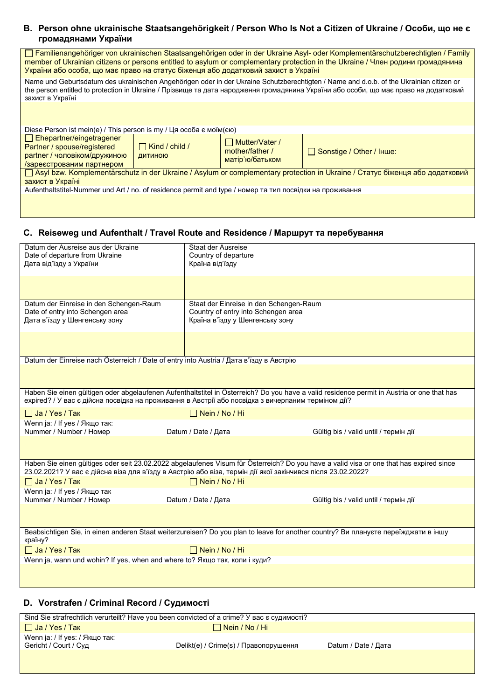### **B. Person ohne ukrainische Staatsangehörigkeit / Person Who Is Not a Citizen of Ukraine / Особи, що не є громадянами України**

Familienangehöriger von ukrainischen Staatsangehörigen oder in der Ukraine Asyl- oder Komplementärschutzberechtigten / Family member of Ukrainian citizens or persons entitled to asylum or complementary protection in the Ukraine / Член родини громадянина України або особа, що має право на статус біженця або додатковий захист в Україні

Name und Geburtsdatum des ukrainischen Angehörigen oder in der Ukraine Schutzberechtigten / Name and d.o.b. of the Ukrainian citizen or the person entitled to protection in Ukraine / Прізвище та дата народження громадянина України або особи, що має право на додатковий захист в Україні

| Diese Person ist mein(e) / This person is my / $\Box$ я особа є моїм(єю)                                                      |                                  |                                                             |                          |
|-------------------------------------------------------------------------------------------------------------------------------|----------------------------------|-------------------------------------------------------------|--------------------------|
| $\Box$ Ehepartner/eingetragener<br>Partner / spouse/registered<br>partner / чоловіком/дружиною<br>/зареєстрованим партнером   | $\Box$ Kind / child /<br>ДИТИНОЮ | $\Box$ Mutter/Vater /<br>mother/father /<br>матір'ю/батьком | Sonstige / Other / Iнше: |
| □ Asyl bzw. Komplementärschutz in der Ukraine / Asylum or complementary protection in Ukraine / Статус біженця або додатковий |                                  |                                                             |                          |
| захист в Україні                                                                                                              |                                  |                                                             |                          |
| Aufenthaltstitel-Nummer und Art / no. of residence permit and type / номер та тип посвідки на проживання                      |                                  |                                                             |                          |
|                                                                                                                               |                                  |                                                             |                          |

#### **C. Reiseweg und Aufenthalt / Travel Route and Residence / Маршрут та перебування**

| Datum der Ausreise aus der Ukraine<br>Date of departure from Ukraine<br>Дата від'їзду з України                                                                                                                                                        | <b>Staat der Ausreise</b><br>Country of departure<br>Країна від'їзду                                              |                                       |
|--------------------------------------------------------------------------------------------------------------------------------------------------------------------------------------------------------------------------------------------------------|-------------------------------------------------------------------------------------------------------------------|---------------------------------------|
|                                                                                                                                                                                                                                                        |                                                                                                                   |                                       |
|                                                                                                                                                                                                                                                        |                                                                                                                   |                                       |
| Datum der Einreise in den Schengen-Raum<br>Date of entry into Schengen area<br>Дата в'їзду у Шенгенську зону                                                                                                                                           | Staat der Einreise in den Schengen-Raum<br>Country of entry into Schengen area<br>Країна в'їзду у Шенгенську зону |                                       |
|                                                                                                                                                                                                                                                        |                                                                                                                   |                                       |
| Datum der Einreise nach Österreich / Date of entry into Austria / Дата в'їзду в Австрію                                                                                                                                                                |                                                                                                                   |                                       |
|                                                                                                                                                                                                                                                        |                                                                                                                   |                                       |
| Haben Sie einen gültigen oder abgelaufenen Aufenthaltstitel in Österreich? Do you have a valid residence permit in Austria or one that has<br>expired? / У вас є дійсна посвідка на проживання в Австрії або посвідка з вичерпаним терміном дії?       |                                                                                                                   |                                       |
| Ja / Yes / Tak                                                                                                                                                                                                                                         | $\Box$ Nein / No / Hi                                                                                             |                                       |
| Wenn ja: / If yes / Якщо так:<br>Nummer / Number / Номер                                                                                                                                                                                               | Datum / Date / Дата                                                                                               | Gültig bis / valid until / термін дії |
|                                                                                                                                                                                                                                                        |                                                                                                                   |                                       |
| Haben Sie einen gültiges oder seit 23.02.2022 abgelaufenes Visum für Österreich? Do you have a valid visa or one that has expired since<br>23.02.2021? У вас є дійсна віза для в'їзду в Австрію або віза, термін дії якої закінчився після 23.02.2022? |                                                                                                                   |                                       |
| $\Box$ Ja / Yes / Так                                                                                                                                                                                                                                  | $\Box$ Nein / No / Hi                                                                                             |                                       |
| Wenn ja: / If yes / Якщо так<br>Nummer / Number / Homep                                                                                                                                                                                                | Datum / Date / Дата                                                                                               | Gültig bis / valid until / термін дії |
|                                                                                                                                                                                                                                                        |                                                                                                                   |                                       |
| Beabsichtigen Sie, in einen anderen Staat weiterzureisen? Do you plan to leave for another country? Ви плануєте переїжджати в іншу<br>країну?                                                                                                          |                                                                                                                   |                                       |
| Ja / Yes / Tak                                                                                                                                                                                                                                         | $\Box$ Nein / No / Hi                                                                                             |                                       |
| Wenn ja, wann und wohin? If yes, when and where to? Якщо так, коли і куди?                                                                                                                                                                             |                                                                                                                   |                                       |
|                                                                                                                                                                                                                                                        |                                                                                                                   |                                       |

# **D. Vorstrafen / Criminal Record / Судимості**

| Sind Sie strafrechtlich verurteilt? Have you been convicted of a crime? У вас є судимості? |                                       |                     |
|--------------------------------------------------------------------------------------------|---------------------------------------|---------------------|
| $\Box$ Ja / Yes / Tak                                                                      | $\Box$ Nein / No / Hi                 |                     |
| Wenn ja: / If yes: / Якщо так:                                                             |                                       |                     |
| Gericht / Court / Суд                                                                      | Delikt(e) / Crime(s) / Правопорушення | Datum / Date / Дата |
|                                                                                            |                                       |                     |